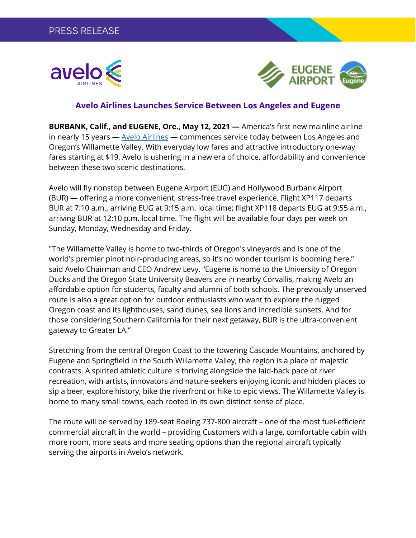



## **Avelo Airlines Launches Service Between Los Angeles and Eugene**

**BURBANK, Calif., and EUGENE, Ore., May 12, 2021 —** America's first new mainline airline in nearly 15 years — [Avelo Airlines](https://www.aveloair.com/?utm_source=news&utm_medium=press-release&utm_campaign=Inaugural_EUG) — commences service today between Los Angeles and Oregon's Willamette Valley. With everyday low fares and attractive introductory one-way fares starting at \$19, Avelo is ushering in a new era of choice, affordability and convenience between these two scenic destinations.

Avelo will fly nonstop between Eugene Airport (EUG) and Hollywood Burbank Airport (BUR) — offering a more convenient, stress-free travel experience. Flight XP117 departs BUR at 7:10 a.m., arriving EUG at 9:15 a.m. local time; flight XP118 departs EUG at 9:55 a.m., arriving BUR at 12:10 p.m. local time. The flight will be available four days per week on Sunday, Monday, Wednesday and Friday.

"The Willamette Valley is home to two-thirds of Oregon's vineyards and is one of the world's premier pinot noir-producing areas, so it's no wonder tourism is booming here," said Avelo Chairman and CEO Andrew Levy. "Eugene is home to the University of Oregon Ducks and the Oregon State University Beavers are in nearby Corvallis, making Avelo an affordable option for students, faculty and alumni of both schools. The previously unserved route is also a great option for outdoor enthusiasts who want to explore the rugged Oregon coast and its lighthouses, sand dunes, sea lions and incredible sunsets. And for those considering Southern California for their next getaway, BUR is the ultra-convenient gateway to Greater LA."

Stretching from the central Oregon Coast to the towering Cascade Mountains, anchored by Eugene and Springfield in the South Willamette Valley, the region is a place of majestic contrasts. A spirited athletic culture is thriving alongside the laid-back pace of river recreation, with artists, innovators and nature-seekers enjoying iconic and hidden places to sip a beer, explore history, bike the riverfront or hike to epic views. The Willamette Valley is home to many small towns, each rooted in its own distinct sense of place.

The route will be served by 189-seat Boeing 737-800 aircraft – one of the most fuel-efficient commercial aircraft in the world – providing Customers with a large, comfortable cabin with more room, more seats and more seating options than the regional aircraft typically serving the airports in Avelo's network.